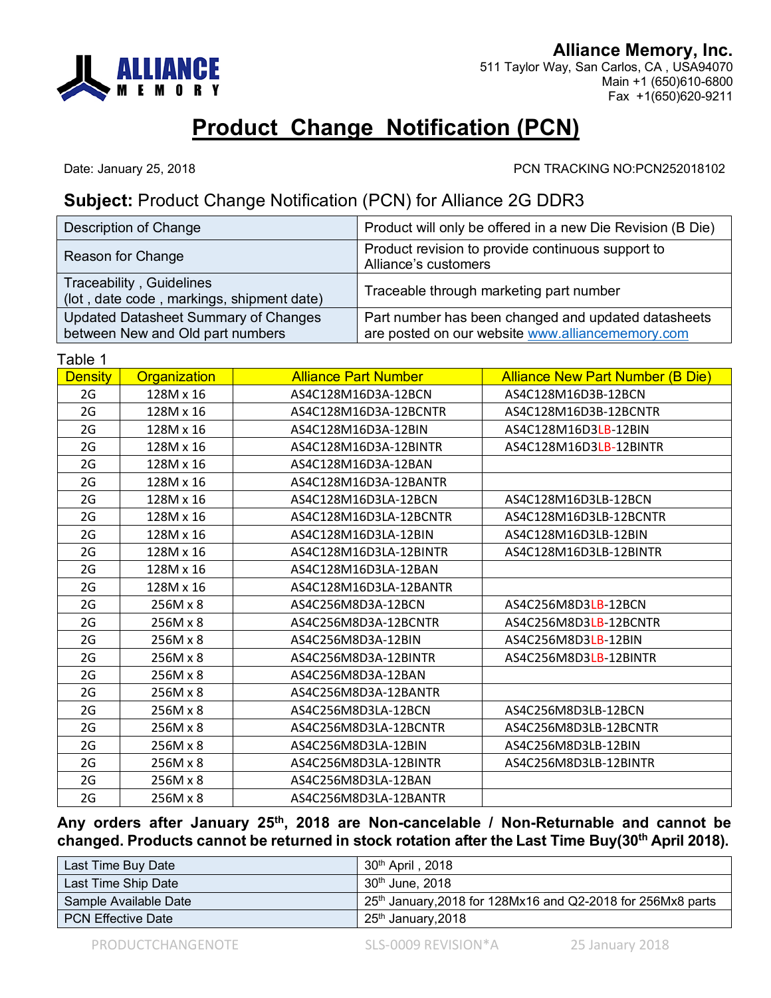

**Alliance Memory, Inc.** 511 Taylor Way, San Carlos, CA , USA94070 Main +1 (650)610-6800 Fax +1(650)620-9211

## **Product Change Notification (PCN)**

Date: January 25, 2018 PCN TRACKING NO:PCN252018102

## **Subject:** Product Change Notification (PCN) for Alliance 2G DDR3

| Description of Change                                                    | Product will only be offered in a new Die Revision (B Die)                                              |
|--------------------------------------------------------------------------|---------------------------------------------------------------------------------------------------------|
| Reason for Change                                                        | Product revision to provide continuous support to<br>Alliance's customers                               |
| Traceability, Guidelines<br>(lot, date code, markings, shipment date)    | Traceable through marketing part number                                                                 |
| Updated Datasheet Summary of Changes<br>between New and Old part numbers | Part number has been changed and updated datasheets<br>are posted on our website www.alliancememory.com |

| able |  |
|------|--|
|      |  |

| <b>Density</b> | Organization | <b>Alliance Part Number</b>                    | <b>Alliance New Part Number (B Die)</b> |
|----------------|--------------|------------------------------------------------|-----------------------------------------|
| 2G             | 128M x 16    | AS4C128M16D3A-12BCN                            | AS4C128M16D3B-12BCN                     |
| 2G             | 128M x 16    | AS4C128M16D3A-12BCNTR<br>AS4C128M16D3B-12BCNTR |                                         |
| 2G             | 128M x 16    | AS4C128M16D3A-12BIN                            | AS4C128M16D3LB-12BIN                    |
| 2G             | 128M x 16    | AS4C128M16D3A-12BINTR                          | AS4C128M16D3LB-12BINTR                  |
| 2G             | 128M x 16    | AS4C128M16D3A-12BAN                            |                                         |
| 2G             | 128M x 16    | AS4C128M16D3A-12BANTR                          |                                         |
| 2G             | 128M x 16    | AS4C128M16D3LA-12BCN                           | AS4C128M16D3LB-12BCN                    |
| 2G             | 128M x 16    | AS4C128M16D3LA-12BCNTR                         | AS4C128M16D3LB-12BCNTR                  |
| 2G             | 128M x 16    | AS4C128M16D3LA-12BIN                           | AS4C128M16D3LB-12BIN                    |
| 2G             | 128M x 16    | AS4C128M16D3LA-12BINTR                         | AS4C128M16D3LB-12BINTR                  |
| 2G             | 128M x 16    | AS4C128M16D3LA-12BAN                           |                                         |
| 2G             | 128M x 16    | AS4C128M16D3LA-12BANTR                         |                                         |
| 2G             | 256M x 8     | AS4C256M8D3A-12BCN                             | AS4C256M8D3LB-12BCN                     |
| 2G             | 256M x 8     | AS4C256M8D3A-12BCNTR                           | AS4C256M8D3LB-12BCNTR                   |
| 2G             | 256M x 8     | AS4C256M8D3A-12BIN                             | AS4C256M8D3LB-12BIN                     |
| 2G             | 256M x 8     | AS4C256M8D3A-12BINTR                           | AS4C256M8D3LB-12BINTR                   |
| 2G             | 256M x 8     | AS4C256M8D3A-12BAN                             |                                         |
| 2G             | 256M x 8     | AS4C256M8D3A-12BANTR                           |                                         |
| 2G             | 256M x 8     | AS4C256M8D3LA-12BCN                            | AS4C256M8D3LB-12BCN                     |
| 2G             | 256M x 8     | AS4C256M8D3LA-12BCNTR                          | AS4C256M8D3LB-12BCNTR                   |
| 2G             | 256M x 8     | AS4C256M8D3LA-12BIN                            | AS4C256M8D3LB-12BIN                     |
| 2G             | 256M x 8     | AS4C256M8D3LA-12BINTR                          | AS4C256M8D3LB-12BINTR                   |
| 2G             | 256M x 8     | AS4C256M8D3LA-12BAN                            |                                         |
| 2G             | 256M x 8     | AS4C256M8D3LA-12BANTR                          |                                         |

**Any orders after January 25 th , 2018 are Non-cancelable / Non-Returnable and cannot be changed. Products cannot be returned in stock rotation after the Last Time Buy(30th April 2018).** 

| Last Time Buy Date         | 30 <sup>th</sup> April, 2018                                |
|----------------------------|-------------------------------------------------------------|
| <b>Last Time Ship Date</b> | 30 <sup>th</sup> June, 2018                                 |
| Sample Available Date      | 25th January, 2018 for 128Mx16 and Q2-2018 for 256Mx8 parts |
| <b>PCN Effective Date</b>  | ⊥ 25 <sup>th</sup> January,2018                             |